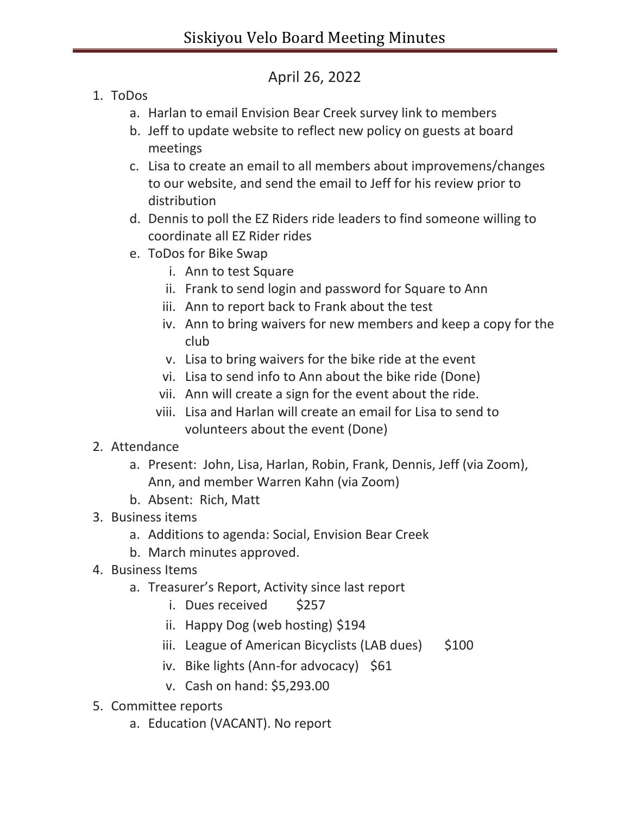## April 26, 2022

- 1. ToDos
	- a. Harlan to email Envision Bear Creek survey link to members
	- b. Jeff to update website to reflect new policy on guests at board meetings
	- c. Lisa to create an email to all members about improvemens/changes to our website, and send the email to Jeff for his review prior to distribution
	- d. Dennis to poll the EZ Riders ride leaders to find someone willing to coordinate all EZ Rider rides
	- e. ToDos for Bike Swap
		- i. Ann to test Square
		- ii. Frank to send login and password for Square to Ann
		- iii. Ann to report back to Frank about the test
		- iv. Ann to bring waivers for new members and keep a copy for the club
		- v. Lisa to bring waivers for the bike ride at the event
		- vi. Lisa to send info to Ann about the bike ride (Done)
		- vii. Ann will create a sign for the event about the ride.
		- viii. Lisa and Harlan will create an email for Lisa to send to volunteers about the event (Done)
- 2. Attendance
	- a. Present: John, Lisa, Harlan, Robin, Frank, Dennis, Jeff (via Zoom), Ann, and member Warren Kahn (via Zoom)
	- b. Absent: Rich, Matt
- 3. Business items
	- a. Additions to agenda: Social, Envision Bear Creek
	- b. March minutes approved.
- 4. Business Items
	- a. Treasurer's Report, Activity since last report
		- i. Dues received \$257
		- ii. Happy Dog (web hosting) \$194
		- iii. League of American Bicyclists (LAB dues)  $$100$
		- iv. Bike lights (Ann-for advocacy) \$61
		- v. Cash on hand: \$5,293.00
- 5. Committee reports
	- a. Education (VACANT). No report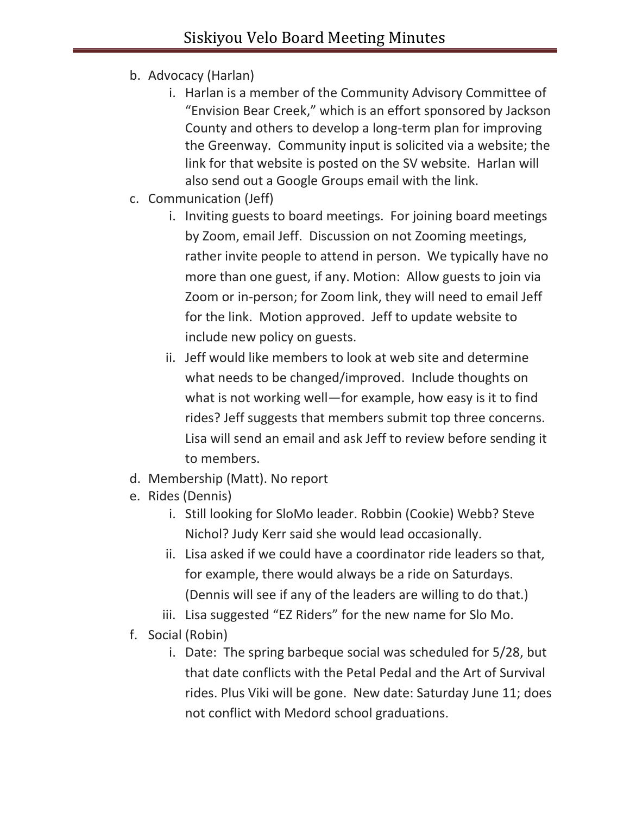- b. Advocacy (Harlan)
	- i. Harlan is a member of the Community Advisory Committee of "Envision Bear Creek," which is an effort sponsored by Jackson County and others to develop a long-term plan for improving the Greenway. Community input is solicited via a website; the link for that website is posted on the SV website. Harlan will also send out a Google Groups email with the link.
- c. Communication (Jeff)
	- i. Inviting guests to board meetings. For joining board meetings by Zoom, email Jeff. Discussion on not Zooming meetings, rather invite people to attend in person. We typically have no more than one guest, if any. Motion: Allow guests to join via Zoom or in-person; for Zoom link, they will need to email Jeff for the link. Motion approved. Jeff to update website to include new policy on guests.
	- ii. Jeff would like members to look at web site and determine what needs to be changed/improved. Include thoughts on what is not working well—for example, how easy is it to find rides? Jeff suggests that members submit top three concerns. Lisa will send an email and ask Jeff to review before sending it to members.
- d. Membership (Matt). No report
- e. Rides (Dennis)
	- i. Still looking for SloMo leader. Robbin (Cookie) Webb? Steve Nichol? Judy Kerr said she would lead occasionally.
	- ii. Lisa asked if we could have a coordinator ride leaders so that, for example, there would always be a ride on Saturdays. (Dennis will see if any of the leaders are willing to do that.)
	- iii. Lisa suggested "EZ Riders" for the new name for Slo Mo.
- f. Social (Robin)
	- i. Date: The spring barbeque social was scheduled for 5/28, but that date conflicts with the Petal Pedal and the Art of Survival rides. Plus Viki will be gone. New date: Saturday June 11; does not conflict with Medord school graduations.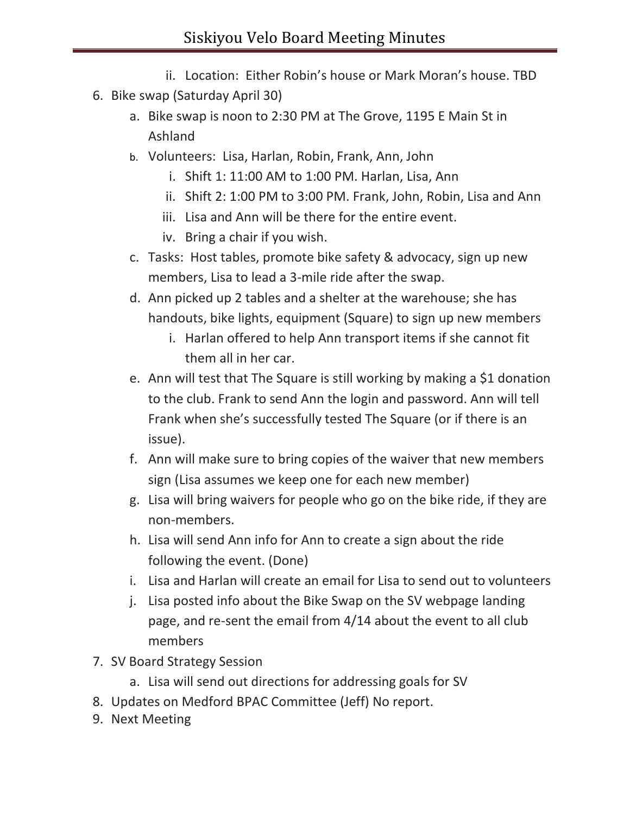- ii. Location: Either Robin's house or Mark Moran's house. TBD
- 6. Bike swap (Saturday April 30)
	- a. Bike swap is noon to 2:30 PM at The Grove, 1195 E Main St in Ashland
	- b. Volunteers: Lisa, Harlan, Robin, Frank, Ann, John
		- i. Shift 1: 11:00 AM to 1:00 PM. Harlan, Lisa, Ann
		- ii. Shift 2: 1:00 PM to 3:00 PM. Frank, John, Robin, Lisa and Ann
		- iii. Lisa and Ann will be there for the entire event.
		- iv. Bring a chair if you wish.
	- c. Tasks: Host tables, promote bike safety & advocacy, sign up new members, Lisa to lead a 3-mile ride after the swap.
	- d. Ann picked up 2 tables and a shelter at the warehouse; she has handouts, bike lights, equipment (Square) to sign up new members
		- i. Harlan offered to help Ann transport items if she cannot fit them all in her car.
	- e. Ann will test that The Square is still working by making a \$1 donation to the club. Frank to send Ann the login and password. Ann will tell Frank when she's successfully tested The Square (or if there is an issue).
	- f. Ann will make sure to bring copies of the waiver that new members sign (Lisa assumes we keep one for each new member)
	- g. Lisa will bring waivers for people who go on the bike ride, if they are non-members.
	- h. Lisa will send Ann info for Ann to create a sign about the ride following the event. (Done)
	- i. Lisa and Harlan will create an email for Lisa to send out to volunteers
	- j. Lisa posted info about the Bike Swap on the SV webpage landing page, and re-sent the email from 4/14 about the event to all club members
- 7. SV Board Strategy Session
	- a. Lisa will send out directions for addressing goals for SV
- 8. Updates on Medford BPAC Committee (Jeff) No report.
- 9. Next Meeting